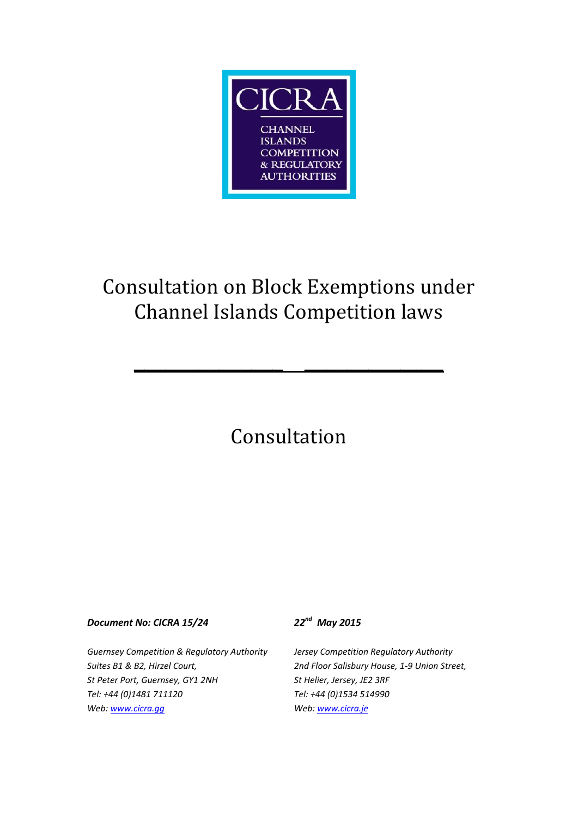

# Consultation on Block Exemptions under Channel Islands Competition laws

**\_\_\_\_\_\_\_\_\_\_\_\_\_\_ \_\_\_\_\_\_\_\_\_\_\_\_\_**

# Consultation

#### *Document No: CICRA 15/24 22nd May 2015*

*Guernsey Competition & Regulatory Authority Suites B1 & B2, Hirzel Court, St Peter Port, Guernsey, GY1 2NH Tel: +44 (0)1481 711120 Web[: www.cicra.gg](http://www.cicra.gg/)*

*Jersey Competition Regulatory Authority 2nd Floor Salisbury House, 1-9 Union Street, St Helier, Jersey, JE2 3RF Tel: +44 (0)1534 514990 Web: www.cicra.je*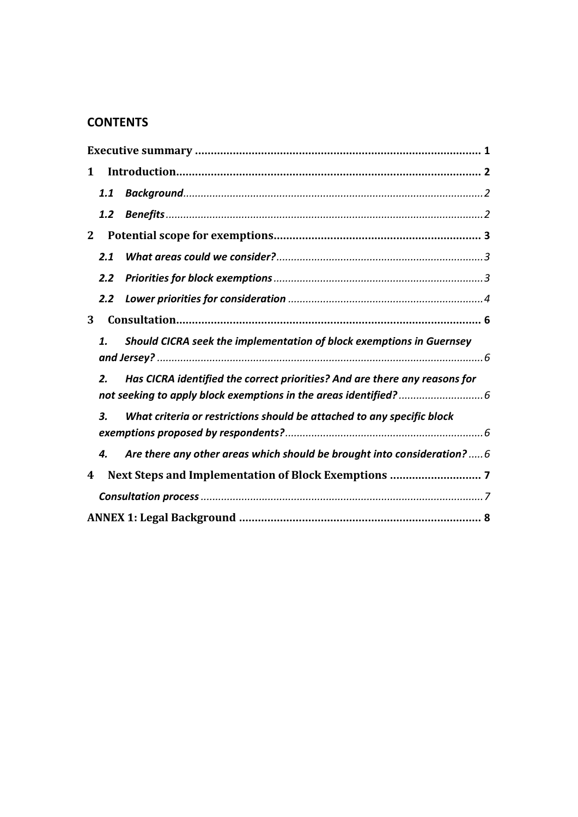## **CONTENTS**

| $\mathbf 1$  |                  |                                                                            |  |  |
|--------------|------------------|----------------------------------------------------------------------------|--|--|
|              | 1.1              |                                                                            |  |  |
|              | 1.2 <sub>2</sub> |                                                                            |  |  |
| $\mathbf{2}$ |                  |                                                                            |  |  |
|              | 2.1              |                                                                            |  |  |
|              | 2.2              |                                                                            |  |  |
|              | $2.2^{\circ}$    |                                                                            |  |  |
| 3            |                  |                                                                            |  |  |
|              | 1.               | Should CICRA seek the implementation of block exemptions in Guernsey       |  |  |
|              | 2.               | Has CICRA identified the correct priorities? And are there any reasons for |  |  |
|              | 3.               | What criteria or restrictions should be attached to any specific block     |  |  |
|              | 4.               | Are there any other areas which should be brought into consideration?  6   |  |  |
| 4            |                  |                                                                            |  |  |
|              |                  |                                                                            |  |  |
|              |                  |                                                                            |  |  |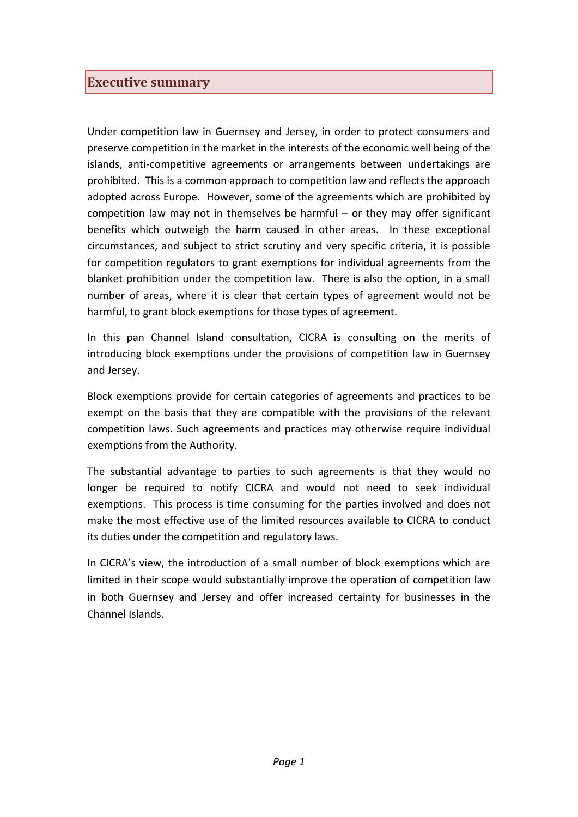## <span id="page-2-0"></span>**Executive summary**

Under competition law in Guernsey and Jersey, in order to protect consumers and preserve competition in the market in the interests of the economic well being of the islands, anti-competitive agreements or arrangements between undertakings are prohibited. This is a common approach to competition law and reflects the approach adopted across Europe. However, some of the agreements which are prohibited by competition law may not in themselves be harmful – or they may offer significant benefits which outweigh the harm caused in other areas. In these exceptional circumstances, and subject to strict scrutiny and very specific criteria, it is possible for competition regulators to grant exemptions for individual agreements from the blanket prohibition under the competition law. There is also the option, in a small number of areas, where it is clear that certain types of agreement would not be harmful, to grant block exemptions for those types of agreement.

In this pan Channel Island consultation, CICRA is consulting on the merits of introducing block exemptions under the provisions of competition law in Guernsey and Jersey.

Block exemptions provide for certain categories of agreements and practices to be exempt on the basis that they are compatible with the provisions of the relevant competition laws. Such agreements and practices may otherwise require individual exemptions from the Authority.

The substantial advantage to parties to such agreements is that they would no longer be required to notify CICRA and would not need to seek individual exemptions. This process is time consuming for the parties involved and does not make the most effective use of the limited resources available to CICRA to conduct its duties under the competition and regulatory laws.

In CICRA's view, the introduction of a small number of block exemptions which are limited in their scope would substantially improve the operation of competition law in both Guernsey and Jersey and offer increased certainty for businesses in the Channel Islands.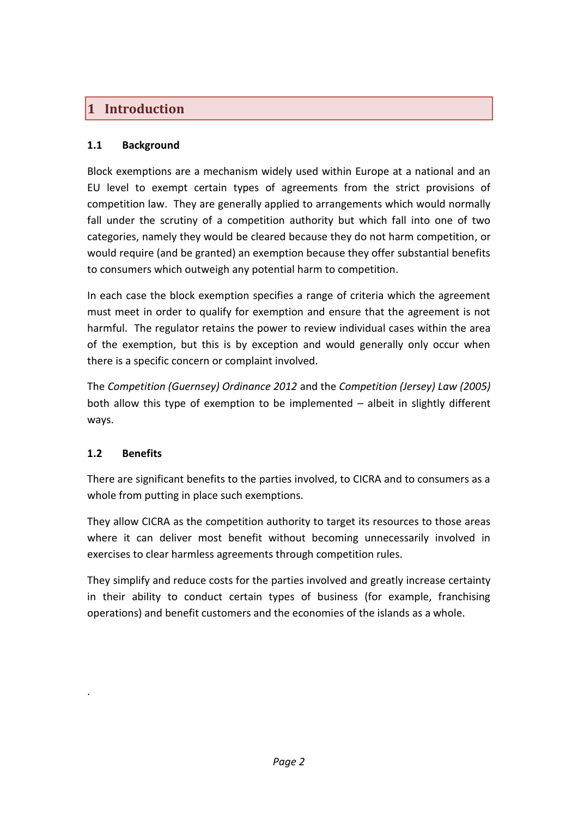## <span id="page-3-0"></span>**1 Introduction**

#### <span id="page-3-1"></span>**1.1 Background**

Block exemptions are a mechanism widely used within Europe at a national and an EU level to exempt certain types of agreements from the strict provisions of competition law. They are generally applied to arrangements which would normally fall under the scrutiny of a competition authority but which fall into one of two categories, namely they would be cleared because they do not harm competition, or would require (and be granted) an exemption because they offer substantial benefits to consumers which outweigh any potential harm to competition.

In each case the block exemption specifies a range of criteria which the agreement must meet in order to qualify for exemption and ensure that the agreement is not harmful. The regulator retains the power to review individual cases within the area of the exemption, but this is by exception and would generally only occur when there is a specific concern or complaint involved.

The *Competition (Guernsey) Ordinance 2012* and the *Competition (Jersey) Law (2005)* both allow this type of exemption to be implemented – albeit in slightly different ways.

### <span id="page-3-2"></span>**1.2 Benefits**

.

There are significant benefits to the parties involved, to CICRA and to consumers as a whole from putting in place such exemptions.

They allow CICRA as the competition authority to target its resources to those areas where it can deliver most benefit without becoming unnecessarily involved in exercises to clear harmless agreements through competition rules.

They simplify and reduce costs for the parties involved and greatly increase certainty in their ability to conduct certain types of business (for example, franchising operations) and benefit customers and the economies of the islands as a whole.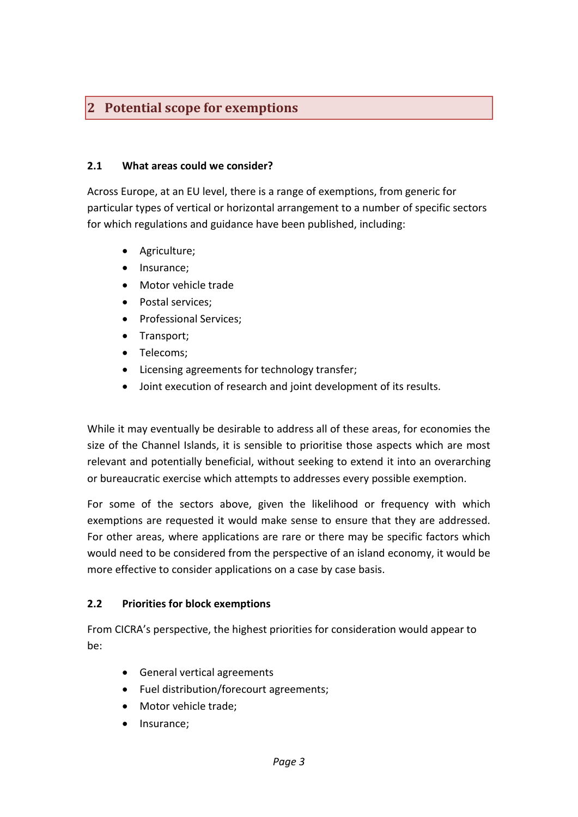## <span id="page-4-0"></span>**2 Potential scope for exemptions**

#### <span id="page-4-1"></span>**2.1 What areas could we consider?**

Across Europe, at an EU level, there is a range of exemptions, from generic for particular types of vertical or horizontal arrangement to a number of specific sectors for which regulations and guidance have been published, including:

- Agriculture;
- Insurance:
- Motor vehicle trade
- Postal services;
- Professional Services:
- Transport;
- Telecoms;
- Licensing agreements for technology transfer;
- Joint execution of research and joint development of its results.

While it may eventually be desirable to address all of these areas, for economies the size of the Channel Islands, it is sensible to prioritise those aspects which are most relevant and potentially beneficial, without seeking to extend it into an overarching or bureaucratic exercise which attempts to addresses every possible exemption.

For some of the sectors above, given the likelihood or frequency with which exemptions are requested it would make sense to ensure that they are addressed. For other areas, where applications are rare or there may be specific factors which would need to be considered from the perspective of an island economy, it would be more effective to consider applications on a case by case basis.

#### <span id="page-4-2"></span>**2.2 Priorities for block exemptions**

From CICRA's perspective, the highest priorities for consideration would appear to be:

- General vertical agreements
- Fuel distribution/forecourt agreements;
- Motor vehicle trade;
- Insurance;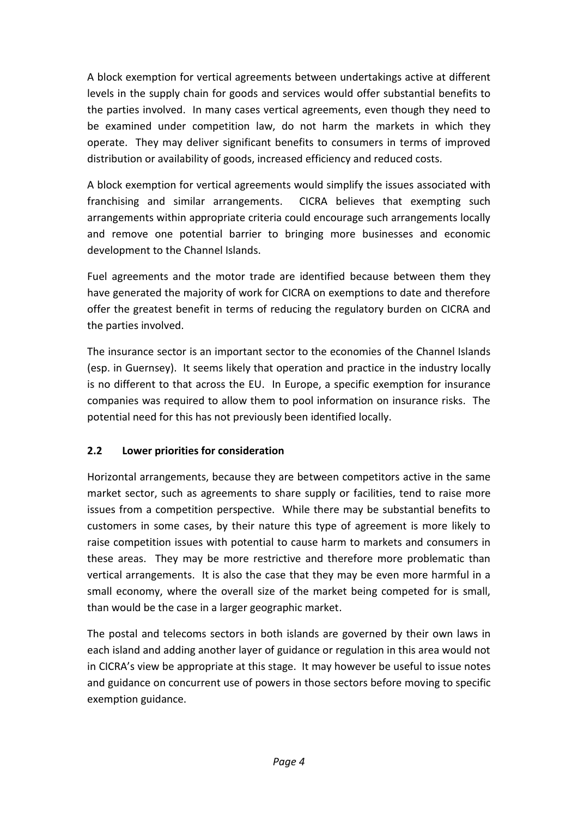A block exemption for vertical agreements between undertakings active at different levels in the supply chain for goods and services would offer substantial benefits to the parties involved. In many cases vertical agreements, even though they need to be examined under competition law, do not harm the markets in which they operate. They may deliver significant benefits to consumers in terms of improved distribution or availability of goods, increased efficiency and reduced costs.

A block exemption for vertical agreements would simplify the issues associated with franchising and similar arrangements. CICRA believes that exempting such arrangements within appropriate criteria could encourage such arrangements locally and remove one potential barrier to bringing more businesses and economic development to the Channel Islands.

Fuel agreements and the motor trade are identified because between them they have generated the majority of work for CICRA on exemptions to date and therefore offer the greatest benefit in terms of reducing the regulatory burden on CICRA and the parties involved.

The insurance sector is an important sector to the economies of the Channel Islands (esp. in Guernsey). It seems likely that operation and practice in the industry locally is no different to that across the EU. In Europe, a specific exemption for insurance companies was required to allow them to pool information on insurance risks. The potential need for this has not previously been identified locally.

### <span id="page-5-0"></span>**2.2 Lower priorities for consideration**

Horizontal arrangements, because they are between competitors active in the same market sector, such as agreements to share supply or facilities, tend to raise more issues from a competition perspective. While there may be substantial benefits to customers in some cases, by their nature this type of agreement is more likely to raise competition issues with potential to cause harm to markets and consumers in these areas. They may be more restrictive and therefore more problematic than vertical arrangements. It is also the case that they may be even more harmful in a small economy, where the overall size of the market being competed for is small, than would be the case in a larger geographic market.

The postal and telecoms sectors in both islands are governed by their own laws in each island and adding another layer of guidance or regulation in this area would not in CICRA's view be appropriate at this stage. It may however be useful to issue notes and guidance on concurrent use of powers in those sectors before moving to specific exemption guidance.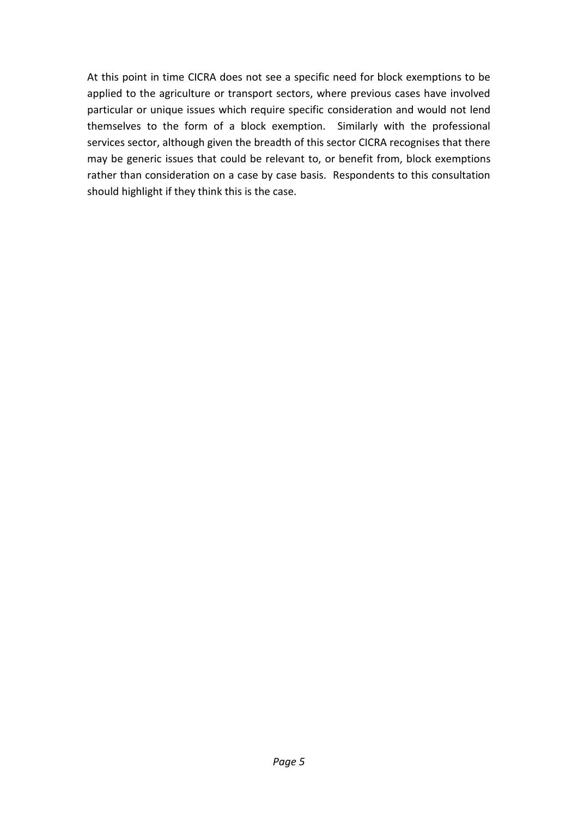At this point in time CICRA does not see a specific need for block exemptions to be applied to the agriculture or transport sectors, where previous cases have involved particular or unique issues which require specific consideration and would not lend themselves to the form of a block exemption. Similarly with the professional services sector, although given the breadth of this sector CICRA recognises that there may be generic issues that could be relevant to, or benefit from, block exemptions rather than consideration on a case by case basis. Respondents to this consultation should highlight if they think this is the case.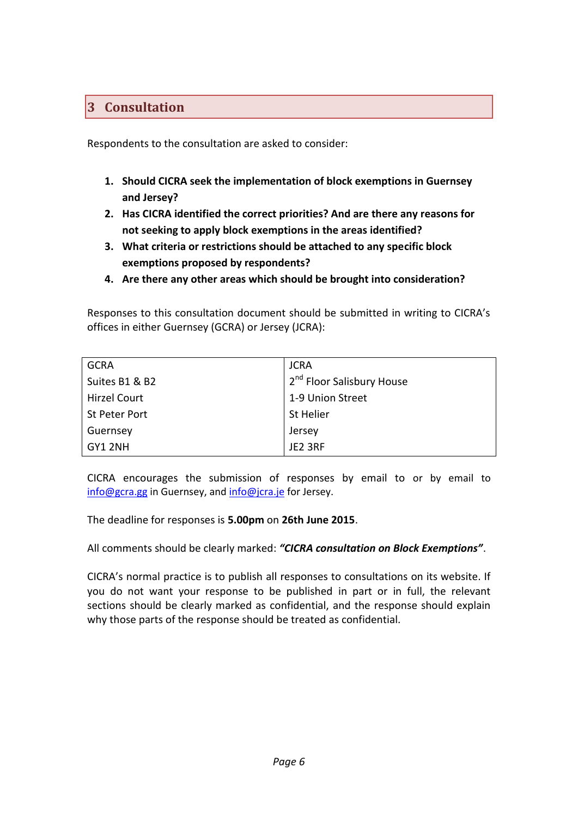## <span id="page-7-0"></span>**3 Consultation**

<span id="page-7-1"></span>Respondents to the consultation are asked to consider:

- **1. Should CICRA seek the implementation of block exemptions in Guernsey and Jersey?**
- <span id="page-7-2"></span>**2. Has CICRA identified the correct priorities? And are there any reasons for not seeking to apply block exemptions in the areas identified?**
- <span id="page-7-3"></span>**3. What criteria or restrictions should be attached to any specific block exemptions proposed by respondents?**
- <span id="page-7-4"></span>**4. Are there any other areas which should be brought into consideration?**

Responses to this consultation document should be submitted in writing to CICRA's offices in either Guernsey (GCRA) or Jersey (JCRA):

| <b>GCRA</b>         | <b>JCRA</b>                           |
|---------------------|---------------------------------------|
| Suites B1 & B2      | 2 <sup>nd</sup> Floor Salisbury House |
| <b>Hirzel Court</b> | 1-9 Union Street                      |
| St Peter Port       | St Helier                             |
| Guernsey            | Jersey                                |
| GY1 2NH             | JE2 3RF                               |

CICRA encourages the submission of responses by email to or by email to [info@gcra.gg](mailto:info@gcra.gg) in Guernsey, and [info@jcra.je](mailto:info@jcra.je) for Jersey.

The deadline for responses is **5.00pm** on **26th June 2015**.

All comments should be clearly marked: *"CICRA consultation on Block Exemptions"*.

CICRA's normal practice is to publish all responses to consultations on its website. If you do not want your response to be published in part or in full, the relevant sections should be clearly marked as confidential, and the response should explain why those parts of the response should be treated as confidential.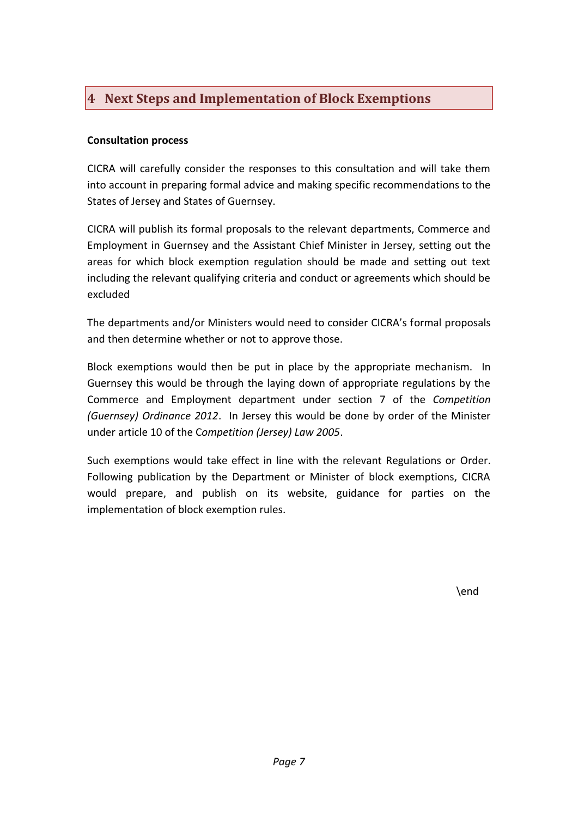# <span id="page-8-0"></span>**4 Next Steps and Implementation of Block Exemptions**

#### <span id="page-8-1"></span>**Consultation process**

CICRA will carefully consider the responses to this consultation and will take them into account in preparing formal advice and making specific recommendations to the States of Jersey and States of Guernsey.

CICRA will publish its formal proposals to the relevant departments, Commerce and Employment in Guernsey and the Assistant Chief Minister in Jersey, setting out the areas for which block exemption regulation should be made and setting out text including the relevant qualifying criteria and conduct or agreements which should be excluded

The departments and/or Ministers would need to consider CICRA's formal proposals and then determine whether or not to approve those.

Block exemptions would then be put in place by the appropriate mechanism. In Guernsey this would be through the laying down of appropriate regulations by the Commerce and Employment department under section 7 of the *Competition (Guernsey) Ordinance 2012*. In Jersey this would be done by order of the Minister under article 10 of the C*ompetition (Jersey) Law 2005*.

Such exemptions would take effect in line with the relevant Regulations or Order. Following publication by the Department or Minister of block exemptions, CICRA would prepare, and publish on its website, guidance for parties on the implementation of block exemption rules.

\end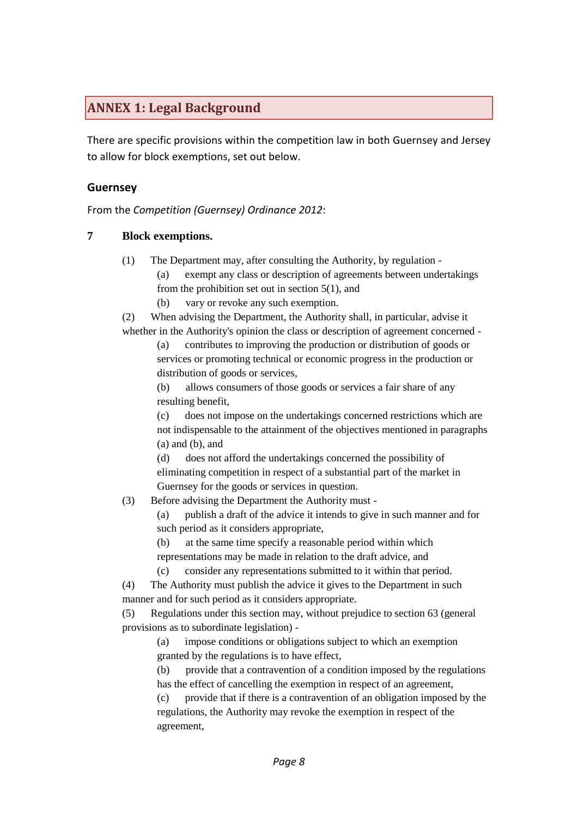## <span id="page-9-0"></span>**ANNEX 1: Legal Background**

There are specific provisions within the competition law in both Guernsey and Jersey to allow for block exemptions, set out below.

#### **Guernsey**

From the *Competition (Guernsey) Ordinance 2012*:

#### **7 Block exemptions.**

- (1) The Department may, after consulting the Authority, by regulation
	- (a) exempt any class or description of agreements between undertakings from the prohibition set out in section 5(1), and
	- (b) vary or revoke any such exemption.

(2) When advising the Department, the Authority shall, in particular, advise it whether in the Authority's opinion the class or description of agreement concerned -

(a) contributes to improving the production or distribution of goods or services or promoting technical or economic progress in the production or distribution of goods or services,

(b) allows consumers of those goods or services a fair share of any resulting benefit,

(c) does not impose on the undertakings concerned restrictions which are not indispensable to the attainment of the objectives mentioned in paragraphs (a) and (b), and

(d) does not afford the undertakings concerned the possibility of eliminating competition in respect of a substantial part of the market in Guernsey for the goods or services in question.

(3) Before advising the Department the Authority must -

(a) publish a draft of the advice it intends to give in such manner and for such period as it considers appropriate,

(b) at the same time specify a reasonable period within which representations may be made in relation to the draft advice, and

(c) consider any representations submitted to it within that period.

(4) The Authority must publish the advice it gives to the Department in such manner and for such period as it considers appropriate.

(5) Regulations under this section may, without prejudice to section 63 (general provisions as to subordinate legislation) -

(a) impose conditions or obligations subject to which an exemption granted by the regulations is to have effect,

(b) provide that a contravention of a condition imposed by the regulations has the effect of cancelling the exemption in respect of an agreement,

(c) provide that if there is a contravention of an obligation imposed by the regulations, the Authority may revoke the exemption in respect of the agreement,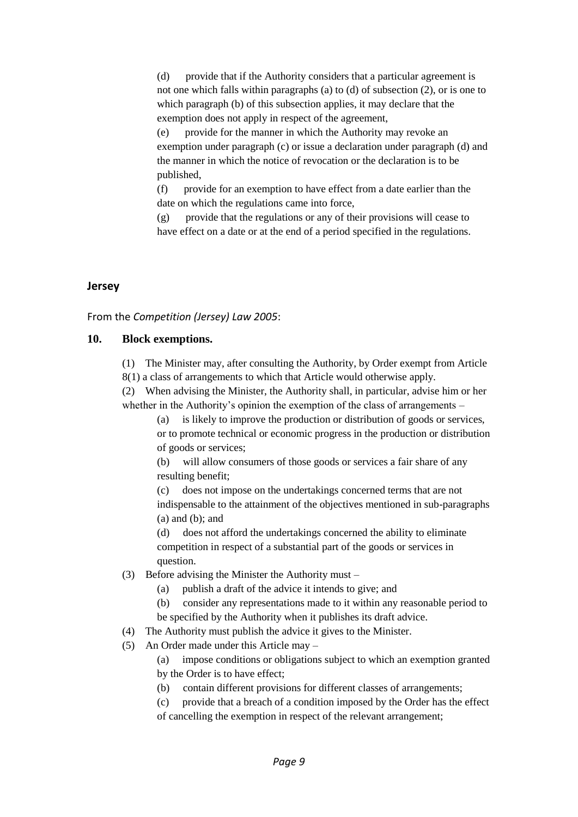(d) provide that if the Authority considers that a particular agreement is not one which falls within paragraphs (a) to (d) of subsection (2), or is one to which paragraph (b) of this subsection applies, it may declare that the exemption does not apply in respect of the agreement,

(e) provide for the manner in which the Authority may revoke an exemption under paragraph (c) or issue a declaration under paragraph (d) and the manner in which the notice of revocation or the declaration is to be published,

(f) provide for an exemption to have effect from a date earlier than the date on which the regulations came into force,

(g) provide that the regulations or any of their provisions will cease to have effect on a date or at the end of a period specified in the regulations.

#### **Jersey**

From the *Competition (Jersey) Law 2005*:

#### **10. Block exemptions.**

(1) The Minister may, after consulting the Authority, by Order exempt from Article 8(1) a class of arrangements to which that Article would otherwise apply.

(2) When advising the Minister, the Authority shall, in particular, advise him or her whether in the Authority's opinion the exemption of the class of arrangements –

(a) is likely to improve the production or distribution of goods or services, or to promote technical or economic progress in the production or distribution of goods or services;

(b) will allow consumers of those goods or services a fair share of any resulting benefit;

(c) does not impose on the undertakings concerned terms that are not indispensable to the attainment of the objectives mentioned in sub-paragraphs (a) and (b); and

(d) does not afford the undertakings concerned the ability to eliminate competition in respect of a substantial part of the goods or services in question.

- (3) Before advising the Minister the Authority must
	- (a) publish a draft of the advice it intends to give; and
	- (b) consider any representations made to it within any reasonable period to be specified by the Authority when it publishes its draft advice.
- (4) The Authority must publish the advice it gives to the Minister.
- (5) An Order made under this Article may –

(a) impose conditions or obligations subject to which an exemption granted by the Order is to have effect;

- (b) contain different provisions for different classes of arrangements;
- (c) provide that a breach of a condition imposed by the Order has the effect of cancelling the exemption in respect of the relevant arrangement;